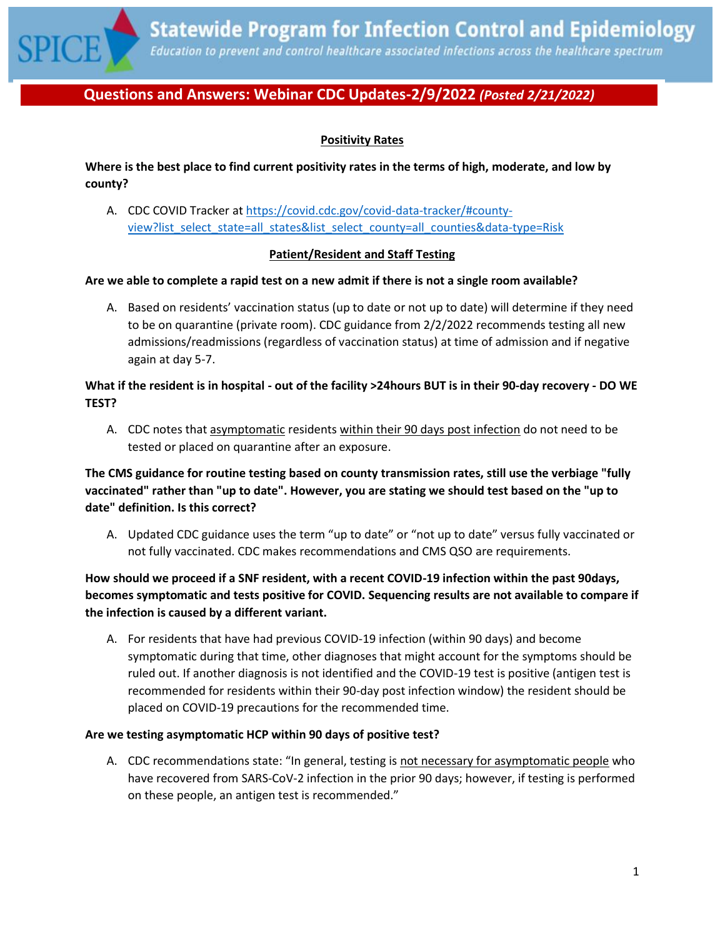

# **Positivity Rates**

**Where is the best place to find current positivity rates in the terms of high, moderate, and low by county?**

A. CDC COVID Tracker at [https://covid.cdc.gov/covid-data-tracker/#county](https://covid.cdc.gov/covid-data-tracker/#county-view?list_select_state=all_states&list_select_county=all_counties&data-type=Risk)[view?list\\_select\\_state=all\\_states&list\\_select\\_county=all\\_counties&data-type=Risk](https://covid.cdc.gov/covid-data-tracker/#county-view?list_select_state=all_states&list_select_county=all_counties&data-type=Risk)

#### **Patient/Resident and Staff Testing**

#### **Are we able to complete a rapid test on a new admit if there is not a single room available?**

A. Based on residents' vaccination status (up to date or not up to date) will determine if they need to be on quarantine (private room). CDC guidance from 2/2/2022 recommends testing all new admissions/readmissions (regardless of vaccination status) at time of admission and if negative again at day 5-7.

## **What if the resident is in hospital - out of the facility >24hours BUT is in their 90-day recovery - DO WE TEST?**

A. CDC notes that asymptomatic residents within their 90 days post infection do not need to be tested or placed on quarantine after an exposure.

# **The CMS guidance for routine testing based on county transmission rates, still use the verbiage "fully vaccinated" rather than "up to date". However, you are stating we should test based on the "up to date" definition. Is this correct?**

A. Updated CDC guidance uses the term "up to date" or "not up to date" versus fully vaccinated or not fully vaccinated. CDC makes recommendations and CMS QSO are requirements.

# **How should we proceed if a SNF resident, with a recent COVID-19 infection within the past 90days, becomes symptomatic and tests positive for COVID. Sequencing results are not available to compare if the infection is caused by a different variant.**

A. For residents that have had previous COVID-19 infection (within 90 days) and become symptomatic during that time, other diagnoses that might account for the symptoms should be ruled out. If another diagnosis is not identified and the COVID-19 test is positive (antigen test is recommended for residents within their 90-day post infection window) the resident should be placed on COVID-19 precautions for the recommended time.

#### **Are we testing asymptomatic HCP within 90 days of positive test?**

A. CDC recommendations state: "In general, testing is not necessary for asymptomatic people who have recovered from SARS-CoV-2 infection in the prior 90 days; however, if testing is performed on these people, an antigen test is recommended."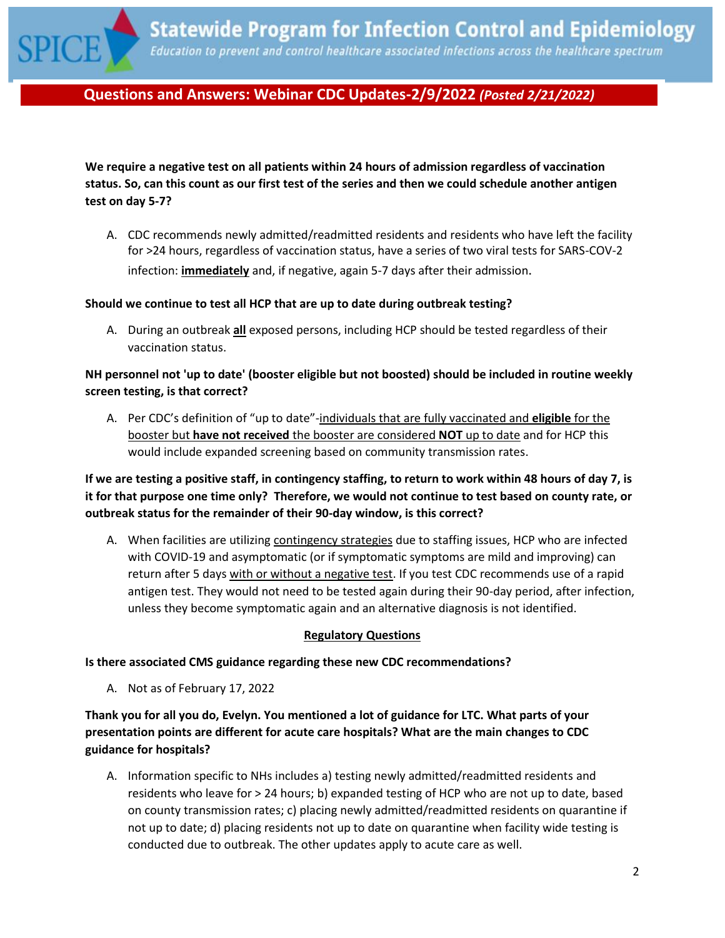

**We require a negative test on all patients within 24 hours of admission regardless of vaccination status. So, can this count as our first test of the series and then we could schedule another antigen test on day 5-7?**

A. CDC recommends newly admitted/readmitted residents and residents who have left the facility for >24 hours, regardless of vaccination status, have a series of two viral tests for SARS-COV-2 infection: **immediately** and, if negative, again 5-7 days after their admission.

#### **Should we continue to test all HCP that are up to date during outbreak testing?**

A. During an outbreak **all** exposed persons, including HCP should be tested regardless of their vaccination status.

## **NH personnel not 'up to date' (booster eligible but not boosted) should be included in routine weekly screen testing, is that correct?**

A. Per CDC's definition of "up to date"-individuals that are fully vaccinated and **eligible** for the booster but **have not received** the booster are considered **NOT** up to date and for HCP this would include expanded screening based on community transmission rates.

**If we are testing a positive staff, in contingency staffing, to return to work within 48 hours of day 7, is it for that purpose one time only? Therefore, we would not continue to test based on county rate, or outbreak status for the remainder of their 90-day window, is this correct?**

A. When facilities are utilizing contingency strategies due to staffing issues, HCP who are infected with COVID-19 and asymptomatic (or if symptomatic symptoms are mild and improving) can return after 5 days with or without a negative test. If you test CDC recommends use of a rapid antigen test. They would not need to be tested again during their 90-day period, after infection, unless they become symptomatic again and an alternative diagnosis is not identified.

#### **Regulatory Questions**

#### **Is there associated CMS guidance regarding these new CDC recommendations?**

A. Not as of February 17, 2022

**Thank you for all you do, Evelyn. You mentioned a lot of guidance for LTC. What parts of your presentation points are different for acute care hospitals? What are the main changes to CDC guidance for hospitals?**

A. Information specific to NHs includes a) testing newly admitted/readmitted residents and residents who leave for > 24 hours; b) expanded testing of HCP who are not up to date, based on county transmission rates; c) placing newly admitted/readmitted residents on quarantine if not up to date; d) placing residents not up to date on quarantine when facility wide testing is conducted due to outbreak. The other updates apply to acute care as well.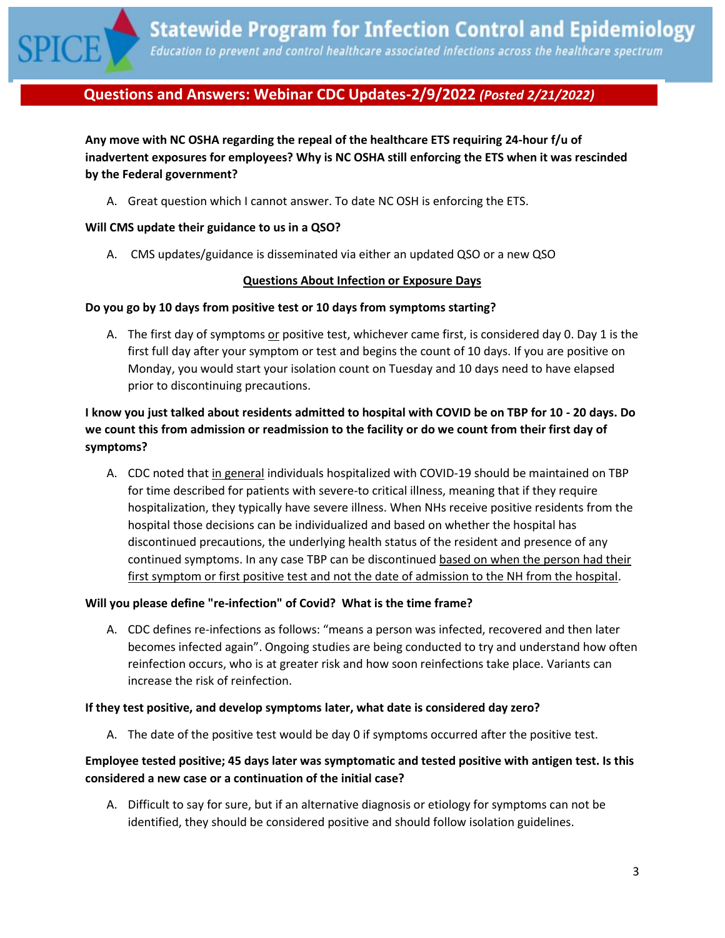

**Any move with NC OSHA regarding the repeal of the healthcare ETS requiring 24-hour f/u of inadvertent exposures for employees? Why is NC OSHA still enforcing the ETS when it was rescinded by the Federal government?**

A. Great question which I cannot answer. To date NC OSH is enforcing the ETS.

#### **Will CMS update their guidance to us in a QSO?**

A. CMS updates/guidance is disseminated via either an updated QSO or a new QSO

#### **Questions About Infection or Exposure Days**

#### **Do you go by 10 days from positive test or 10 days from symptoms starting?**

A. The first day of symptoms or positive test, whichever came first, is considered day 0. Day 1 is the first full day after your symptom or test and begins the count of 10 days. If you are positive on Monday, you would start your isolation count on Tuesday and 10 days need to have elapsed prior to discontinuing precautions.

# **I know you just talked about residents admitted to hospital with COVID be on TBP for 10 - 20 days. Do we count this from admission or readmission to the facility or do we count from their first day of symptoms?**

A. CDC noted that in general individuals hospitalized with COVID-19 should be maintained on TBP for time described for patients with severe-to critical illness, meaning that if they require hospitalization, they typically have severe illness. When NHs receive positive residents from the hospital those decisions can be individualized and based on whether the hospital has discontinued precautions, the underlying health status of the resident and presence of any continued symptoms. In any case TBP can be discontinued based on when the person had their first symptom or first positive test and not the date of admission to the NH from the hospital.

## **Will you please define "re-infection" of Covid? What is the time frame?**

A. CDC defines re-infections as follows: "means a person was infected, recovered and then later becomes infected again". Ongoing studies are being conducted to try and understand how often reinfection occurs, who is at greater risk and how soon reinfections take place. Variants can increase the risk of reinfection.

#### **If they test positive, and develop symptoms later, what date is considered day zero?**

A. The date of the positive test would be day 0 if symptoms occurred after the positive test.

# **Employee tested positive; 45 days later was symptomatic and tested positive with antigen test. Is this considered a new case or a continuation of the initial case?**

A. Difficult to say for sure, but if an alternative diagnosis or etiology for symptoms can not be identified, they should be considered positive and should follow isolation guidelines.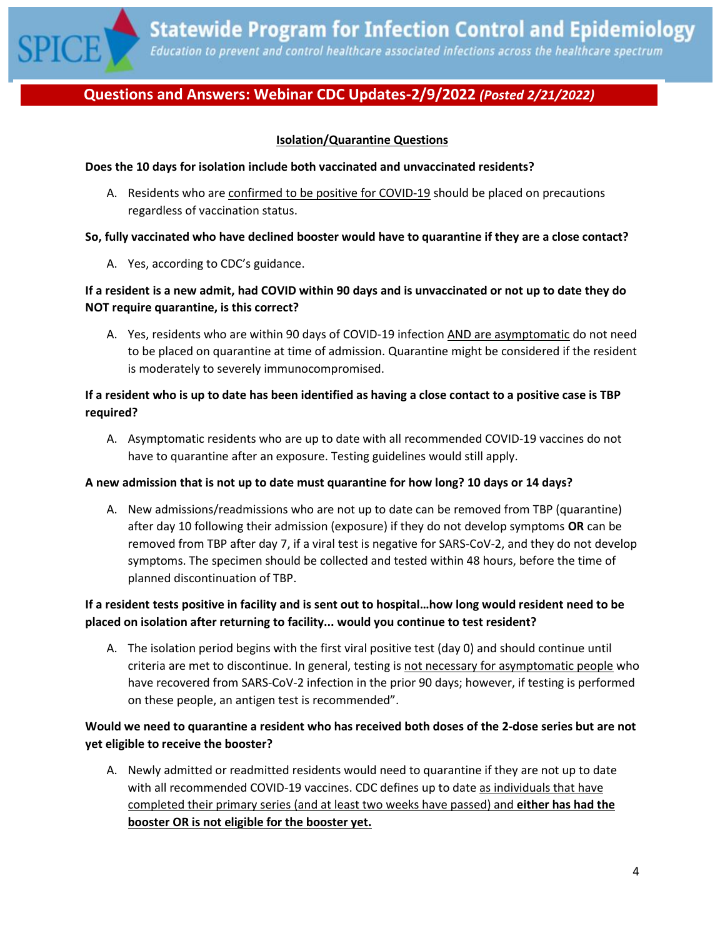

## **Isolation/Quarantine Questions**

#### **Does the 10 days for isolation include both vaccinated and unvaccinated residents?**

A. Residents who are confirmed to be positive for COVID-19 should be placed on precautions regardless of vaccination status.

#### **So, fully vaccinated who have declined booster would have to quarantine if they are a close contact?**

A. Yes, according to CDC's guidance.

# **If a resident is a new admit, had COVID within 90 days and is unvaccinated or not up to date they do NOT require quarantine, is this correct?**

A. Yes, residents who are within 90 days of COVID-19 infection AND are asymptomatic do not need to be placed on quarantine at time of admission. Quarantine might be considered if the resident is moderately to severely immunocompromised.

## **If a resident who is up to date has been identified as having a close contact to a positive case is TBP required?**

A. Asymptomatic residents who are up to date with all recommended COVID-19 vaccines do not have to quarantine after an exposure. Testing guidelines would still apply.

## **A new admission that is not up to date must quarantine for how long? 10 days or 14 days?**

A. New admissions/readmissions who are not up to date can be removed from TBP (quarantine) after day 10 following their admission (exposure) if they do not develop symptoms **OR** can be removed from TBP after day 7, if a viral test is negative for SARS-CoV-2, and they do not develop symptoms. The specimen should be collected and tested within 48 hours, before the time of planned discontinuation of TBP.

# **If a resident tests positive in facility and is sent out to hospital…how long would resident need to be placed on isolation after returning to facility... would you continue to test resident?**

A. The isolation period begins with the first viral positive test (day 0) and should continue until criteria are met to discontinue. In general, testing is not necessary for asymptomatic people who have recovered from SARS-CoV-2 infection in the prior 90 days; however, if testing is performed on these people, an antigen test is recommended".

## **Would we need to quarantine a resident who has received both doses of the 2-dose series but are not yet eligible to receive the booster?**

A. Newly admitted or readmitted residents would need to quarantine if they are not up to date with all recommended COVID-19 vaccines. CDC defines up to date as individuals that have completed their primary series (and at least two weeks have passed) and **either has had the booster OR is not eligible for the booster yet.**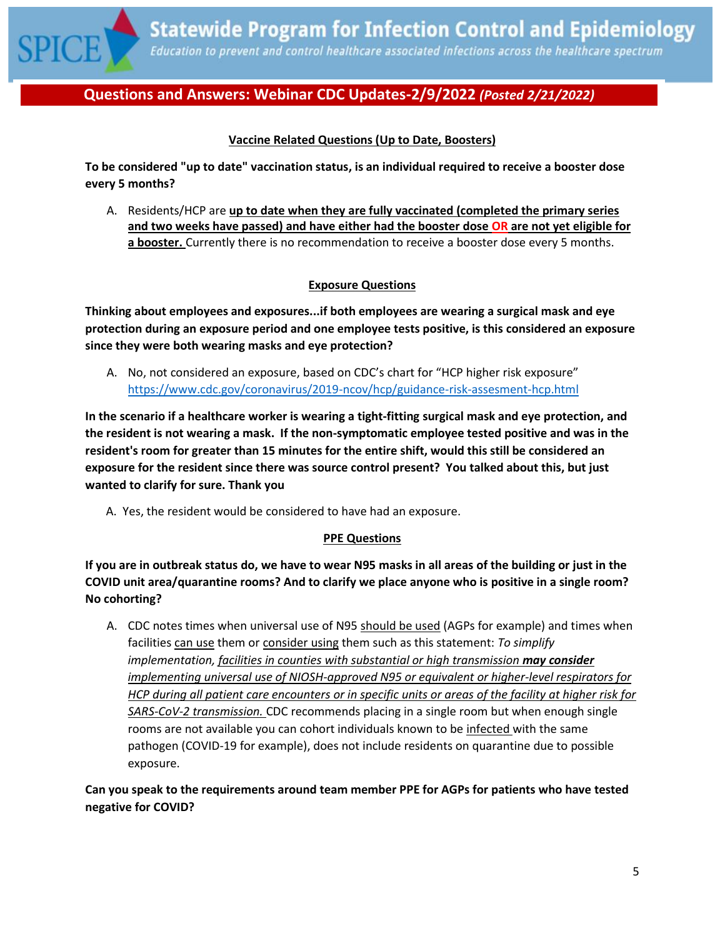

## **Vaccine Related Questions (Up to Date, Boosters)**

**To be considered "up to date" vaccination status, is an individual required to receive a booster dose every 5 months?**

A. Residents/HCP are **up to date when they are fully vaccinated (completed the primary series and two weeks have passed) and have either had the booster dose OR are not yet eligible for a booster.** Currently there is no recommendation to receive a booster dose every 5 months.

## **Exposure Questions**

**Thinking about employees and exposures...if both employees are wearing a surgical mask and eye protection during an exposure period and one employee tests positive, is this considered an exposure since they were both wearing masks and eye protection?**

A. No, not considered an exposure, based on CDC's chart for "HCP higher risk exposure" <https://www.cdc.gov/coronavirus/2019-ncov/hcp/guidance-risk-assesment-hcp.html>

**In the scenario if a healthcare worker is wearing a tight-fitting surgical mask and eye protection, and the resident is not wearing a mask. If the non-symptomatic employee tested positive and was in the resident's room for greater than 15 minutes for the entire shift, would this still be considered an exposure for the resident since there was source control present? You talked about this, but just wanted to clarify for sure. Thank you**

A. Yes, the resident would be considered to have had an exposure.

#### **PPE Questions**

**If you are in outbreak status do, we have to wear N95 masks in all areas of the building or just in the COVID unit area/quarantine rooms? And to clarify we place anyone who is positive in a single room? No cohorting?**

A. CDC notes times when universal use of N95 should be used (AGPs for example) and times when facilities can use them or consider using them such as this statement: *To simplify implementation, facilities in counties with substantial or high transmission may consider implementing universal use of NIOSH-approved N95 or equivalent or higher-level respirators for HCP during all patient care encounters or in specific units or areas of the facility at higher risk for SARS-CoV-2 transmission.* CDC recommends placing in a single room but when enough single rooms are not available you can cohort individuals known to be infected with the same pathogen (COVID-19 for example), does not include residents on quarantine due to possible exposure.

**Can you speak to the requirements around team member PPE for AGPs for patients who have tested negative for COVID?**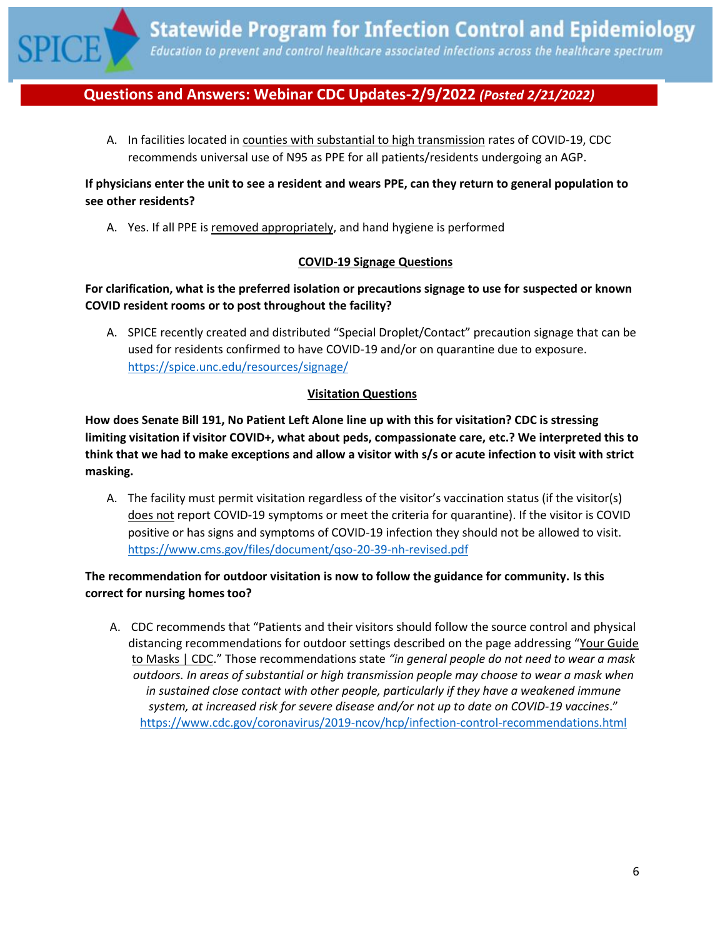

A. In facilities located in counties with substantial to high transmission rates of COVID-19, CDC recommends universal use of N95 as PPE for all patients/residents undergoing an AGP.

## **If physicians enter the unit to see a resident and wears PPE, can they return to general population to see other residents?**

A. Yes. If all PPE is removed appropriately, and hand hygiene is performed

## **COVID-19 Signage Questions**

## **For clarification, what is the preferred isolation or precautions signage to use for suspected or known COVID resident rooms or to post throughout the facility?**

A. SPICE recently created and distributed "Special Droplet/Contact" precaution signage that can be used for residents confirmed to have COVID-19 and/or on quarantine due to exposure. <https://spice.unc.edu/resources/signage/>

## **Visitation Questions**

**How does Senate Bill 191, No Patient Left Alone line up with this for visitation? CDC is stressing limiting visitation if visitor COVID+, what about peds, compassionate care, etc.? We interpreted this to think that we had to make exceptions and allow a visitor with s/s or acute infection to visit with strict masking.**

A. The facility must permit visitation regardless of the visitor's vaccination status (if the visitor(s) does not report COVID-19 symptoms or meet the criteria for quarantine). If the visitor is COVID positive or has signs and symptoms of COVID-19 infection they should not be allowed to visit. <https://www.cms.gov/files/document/qso-20-39-nh-revised.pdf>

## **The recommendation for outdoor visitation is now to follow the guidance for community. Is this correct for nursing homes too?**

A. CDC recommends that "Patients and their visitors should follow the source control and physical distancing recommendations for outdoor settings described on the page addressing "[Your Guide](https://www.cdc.gov/coronavirus/2019-ncov/prevent-getting-sick/about-face-coverings.html)  [to Masks | CDC.](https://www.cdc.gov/coronavirus/2019-ncov/prevent-getting-sick/about-face-coverings.html)" Those recommendations state *"in general people do not need to wear a mask outdoors. In areas of substantial or high transmission people may choose to wear a mask when in sustained close contact with other people, particularly if they have a weakened immune system, at increased risk for severe disease and/or not up to date on COVID-19 vaccines*." <https://www.cdc.gov/coronavirus/2019-ncov/hcp/infection-control-recommendations.html>